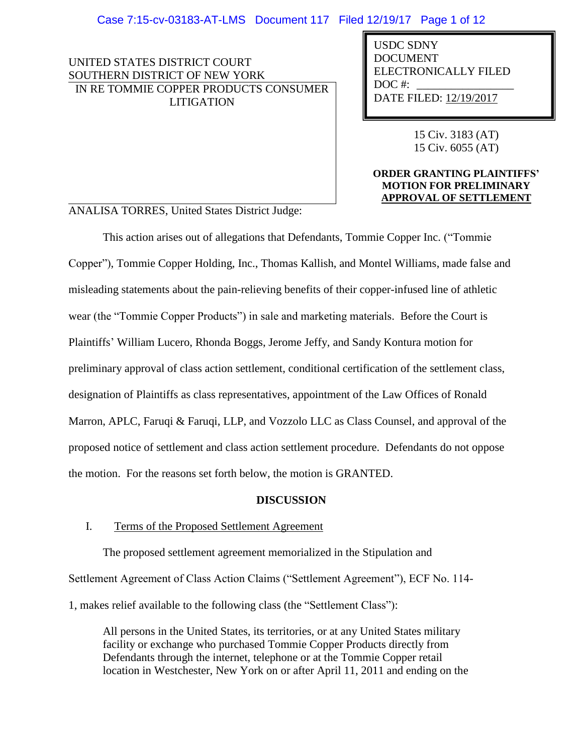UNITED STATES DISTRICT COURT SOUTHERN DISTRICT OF NEW YORK IN RE TOMMIE COPPER PRODUCTS CONSUMER LITIGATION

USDC SDNY DOCUMENT ELECTRONICALLY FILED DOC #: DATE FILED: 12/19/2017

> 15 Civ. 3183 (AT) 15 Civ. 6055 (AT)

### **ORDER GRANTING PLAINTIFFS' MOTION FOR PRELIMINARY APPROVAL OF SETTLEMENT**

ANALISA TORRES, United States District Judge:

This action arises out of allegations that Defendants, Tommie Copper Inc. ("Tommie Copper"), Tommie Copper Holding, Inc., Thomas Kallish, and Montel Williams, made false and misleading statements about the pain-relieving benefits of their copper-infused line of athletic wear (the "Tommie Copper Products") in sale and marketing materials. Before the Court is Plaintiffs' William Lucero, Rhonda Boggs, Jerome Jeffy, and Sandy Kontura motion for preliminary approval of class action settlement, conditional certification of the settlement class, designation of Plaintiffs as class representatives, appointment of the Law Offices of Ronald Marron, APLC, Faruqi & Faruqi, LLP, and Vozzolo LLC as Class Counsel, and approval of the proposed notice of settlement and class action settlement procedure. Defendants do not oppose the motion. For the reasons set forth below, the motion is GRANTED.

## **DISCUSSION**

## I. Terms of the Proposed Settlement Agreement

The proposed settlement agreement memorialized in the Stipulation and Settlement Agreement of Class Action Claims ("Settlement Agreement"), ECF No. 114- 1, makes relief available to the following class (the "Settlement Class"):

All persons in the United States, its territories, or at any United States military facility or exchange who purchased Tommie Copper Products directly from Defendants through the internet, telephone or at the Tommie Copper retail location in Westchester, New York on or after April 11, 2011 and ending on the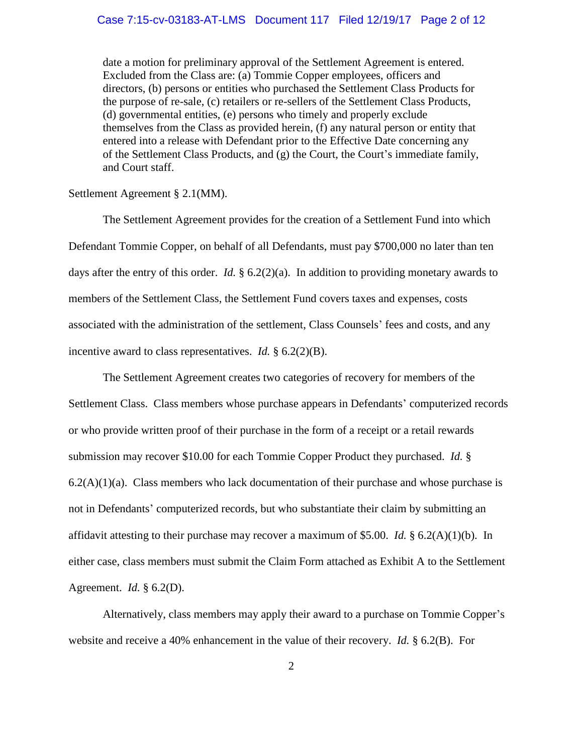# Case 7:15-cv-03183-AT-LMS Document 117 Filed 12/19/17 Page 2 of 12

date a motion for preliminary approval of the Settlement Agreement is entered. Excluded from the Class are: (a) Tommie Copper employees, officers and directors, (b) persons or entities who purchased the Settlement Class Products for the purpose of re-sale, (c) retailers or re-sellers of the Settlement Class Products, (d) governmental entities, (e) persons who timely and properly exclude themselves from the Class as provided herein, (f) any natural person or entity that entered into a release with Defendant prior to the Effective Date concerning any of the Settlement Class Products, and (g) the Court, the Court's immediate family, and Court staff.

#### Settlement Agreement § 2.1(MM).

The Settlement Agreement provides for the creation of a Settlement Fund into which Defendant Tommie Copper, on behalf of all Defendants, must pay \$700,000 no later than ten days after the entry of this order. *Id.* § 6.2(2)(a). In addition to providing monetary awards to members of the Settlement Class, the Settlement Fund covers taxes and expenses, costs associated with the administration of the settlement, Class Counsels' fees and costs, and any incentive award to class representatives. *Id.* § 6.2(2)(B).

The Settlement Agreement creates two categories of recovery for members of the Settlement Class. Class members whose purchase appears in Defendants' computerized records or who provide written proof of their purchase in the form of a receipt or a retail rewards submission may recover \$10.00 for each Tommie Copper Product they purchased. *Id.* §  $6.2(A)(1)(a)$ . Class members who lack documentation of their purchase and whose purchase is not in Defendants' computerized records, but who substantiate their claim by submitting an affidavit attesting to their purchase may recover a maximum of \$5.00. *Id.* § 6.2(A)(1)(b). In either case, class members must submit the Claim Form attached as Exhibit A to the Settlement Agreement. *Id.* § 6.2(D).

Alternatively, class members may apply their award to a purchase on Tommie Copper's website and receive a 40% enhancement in the value of their recovery. *Id.* § 6.2(B). For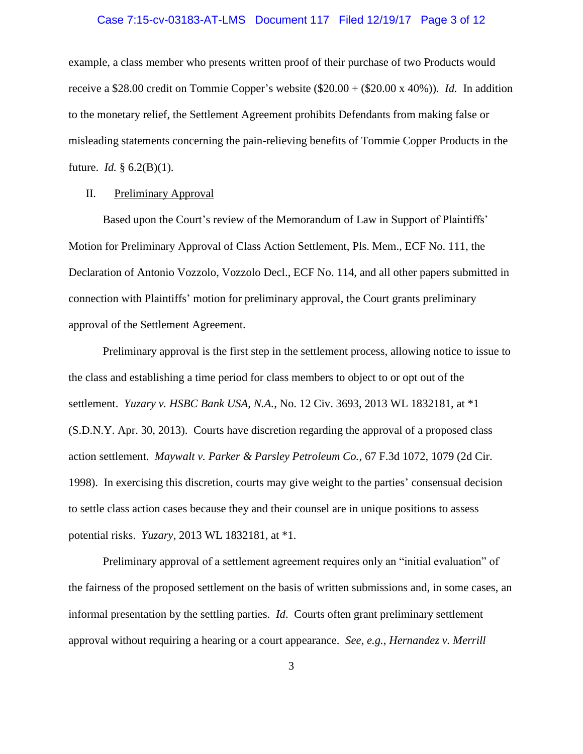#### Case 7:15-cv-03183-AT-LMS Document 117 Filed 12/19/17 Page 3 of 12

example, a class member who presents written proof of their purchase of two Products would receive a \$28.00 credit on Tommie Copper's website  $(\$20.00 + (\$20.00 \times 40\%)$ . *Id.* In addition to the monetary relief, the Settlement Agreement prohibits Defendants from making false or misleading statements concerning the pain-relieving benefits of Tommie Copper Products in the future. *Id.* § 6.2(B)(1).

### II. Preliminary Approval

Based upon the Court's review of the Memorandum of Law in Support of Plaintiffs' Motion for Preliminary Approval of Class Action Settlement, Pls. Mem., ECF No. 111, the Declaration of Antonio Vozzolo, Vozzolo Decl., ECF No. 114, and all other papers submitted in connection with Plaintiffs' motion for preliminary approval, the Court grants preliminary approval of the Settlement Agreement.

Preliminary approval is the first step in the settlement process, allowing notice to issue to the class and establishing a time period for class members to object to or opt out of the settlement. *Yuzary v. HSBC Bank USA, N.A.*, No. 12 Civ. 3693, 2013 WL 1832181, at \*1 (S.D.N.Y. Apr. 30, 2013). Courts have discretion regarding the approval of a proposed class action settlement. *Maywalt v. Parker & Parsley Petroleum Co.*, 67 F.3d 1072, 1079 (2d Cir. 1998). In exercising this discretion, courts may give weight to the parties' consensual decision to settle class action cases because they and their counsel are in unique positions to assess potential risks. *Yuzary*, 2013 WL 1832181, at \*1.

Preliminary approval of a settlement agreement requires only an "initial evaluation" of the fairness of the proposed settlement on the basis of written submissions and, in some cases, an informal presentation by the settling parties. *Id*. Courts often grant preliminary settlement approval without requiring a hearing or a court appearance. *See, e.g.*, *Hernandez v. Merrill*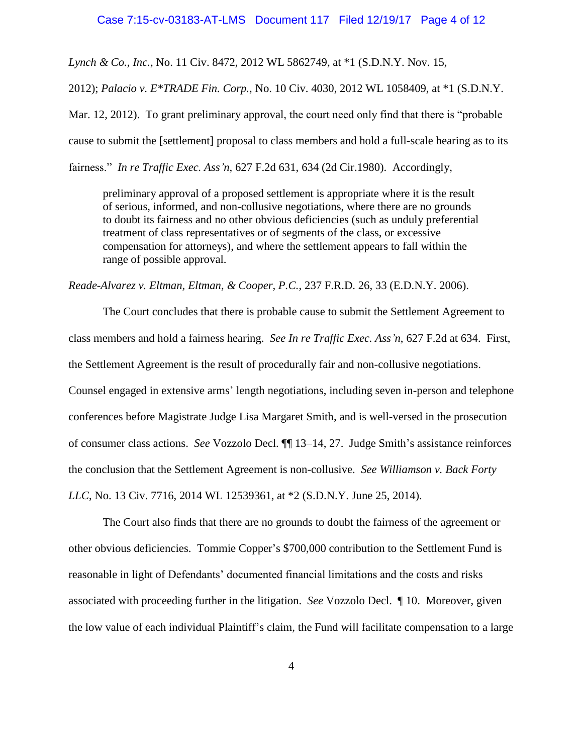#### Case 7:15-cv-03183-AT-LMS Document 117 Filed 12/19/17 Page 4 of 12

*Lynch & Co., Inc.*, No. 11 Civ. 8472, 2012 WL 5862749, at \*1 (S.D.N.Y. Nov. 15,

2012); *Palacio v. E\*TRADE Fin. Corp.*, No. 10 Civ. 4030, 2012 WL 1058409, at \*1 (S.D.N.Y.

Mar. 12, 2012). To grant preliminary approval, the court need only find that there is "probable cause to submit the [settlement] proposal to class members and hold a full-scale hearing as to its fairness." *In re Traffic Exec. Ass'n,* 627 F.2d 631, 634 (2d Cir.1980). Accordingly,

preliminary approval of a proposed settlement is appropriate where it is the result of serious, informed, and non-collusive negotiations, where there are no grounds to doubt its fairness and no other obvious deficiencies (such as unduly preferential treatment of class representatives or of segments of the class, or excessive compensation for attorneys), and where the settlement appears to fall within the range of possible approval.

*Reade-Alvarez v. Eltman, Eltman, & Cooper, P.C.*, 237 F.R.D. 26, 33 (E.D.N.Y. 2006).

The Court concludes that there is probable cause to submit the Settlement Agreement to class members and hold a fairness hearing. *See In re Traffic Exec. Ass'n*, 627 F.2d at 634. First, the Settlement Agreement is the result of procedurally fair and non-collusive negotiations. Counsel engaged in extensive arms' length negotiations, including seven in-person and telephone conferences before Magistrate Judge Lisa Margaret Smith, and is well-versed in the prosecution of consumer class actions. *See* Vozzolo Decl. ¶¶ 13–14, 27. Judge Smith's assistance reinforces the conclusion that the Settlement Agreement is non-collusive. *See Williamson v. Back Forty LLC*, No. 13 Civ. 7716, 2014 WL 12539361, at \*2 (S.D.N.Y. June 25, 2014).

The Court also finds that there are no grounds to doubt the fairness of the agreement or other obvious deficiencies. Tommie Copper's \$700,000 contribution to the Settlement Fund is reasonable in light of Defendants' documented financial limitations and the costs and risks associated with proceeding further in the litigation. *See* Vozzolo Decl. ¶ 10. Moreover, given the low value of each individual Plaintiff's claim, the Fund will facilitate compensation to a large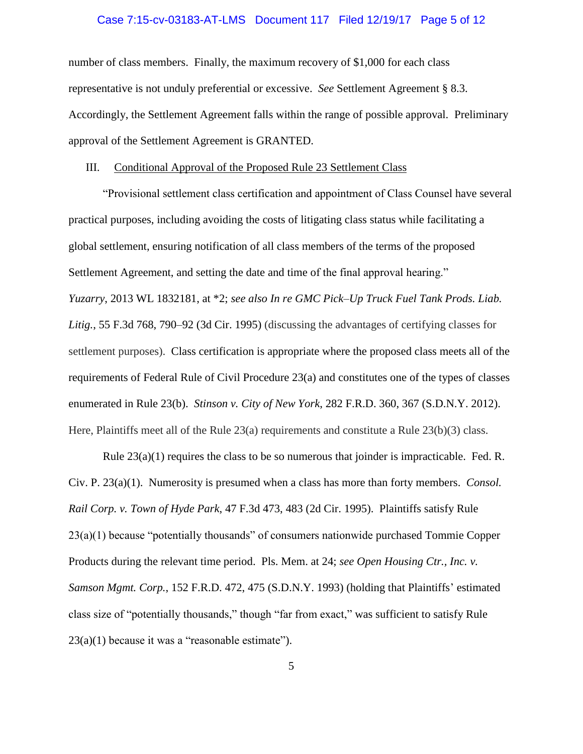#### Case 7:15-cv-03183-AT-LMS Document 117 Filed 12/19/17 Page 5 of 12

number of class members. Finally, the maximum recovery of \$1,000 for each class representative is not unduly preferential or excessive. *See* Settlement Agreement § 8.3. Accordingly, the Settlement Agreement falls within the range of possible approval. Preliminary approval of the Settlement Agreement is GRANTED.

### III. Conditional Approval of the Proposed Rule 23 Settlement Class

"Provisional settlement class certification and appointment of Class Counsel have several practical purposes, including avoiding the costs of litigating class status while facilitating a global settlement, ensuring notification of all class members of the terms of the proposed Settlement Agreement, and setting the date and time of the final approval hearing." *Yuzarry*, 2013 WL 1832181, at \*2; *see also In re GMC Pick–Up Truck Fuel Tank Prods. Liab. Litig.*, 55 F.3d 768, 790–92 (3d Cir. 1995) (discussing the advantages of certifying classes for settlement purposes). Class certification is appropriate where the proposed class meets all of the requirements of Federal Rule of Civil Procedure 23(a) and constitutes one of the types of classes enumerated in Rule 23(b). *Stinson v. City of New York*, 282 F.R.D. 360, 367 (S.D.N.Y. 2012). Here, Plaintiffs meet all of the Rule 23(a) requirements and constitute a Rule 23(b)(3) class.

Rule 23(a)(1) requires the class to be so numerous that joinder is impracticable. Fed. R. Civ. P. 23(a)(1). Numerosity is presumed when a class has more than forty members. *Consol. Rail Corp. v. Town of Hyde Park*, 47 F.3d 473, 483 (2d Cir. 1995). Plaintiffs satisfy Rule 23(a)(1) because "potentially thousands" of consumers nationwide purchased Tommie Copper Products during the relevant time period. Pls. Mem. at 24; *see Open Housing Ctr., Inc. v. Samson Mgmt. Corp.*, 152 F.R.D. 472, 475 (S.D.N.Y. 1993) (holding that Plaintiffs' estimated class size of "potentially thousands," though "far from exact," was sufficient to satisfy Rule  $23(a)(1)$  because it was a "reasonable estimate").

5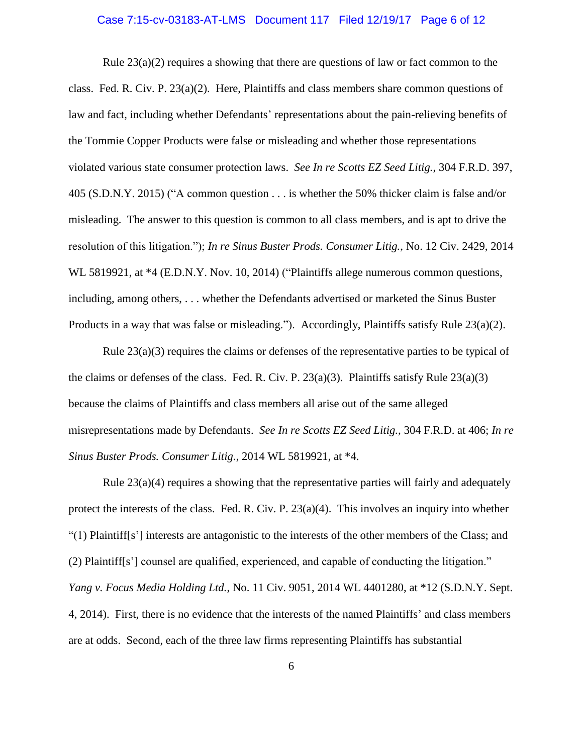#### Case 7:15-cv-03183-AT-LMS Document 117 Filed 12/19/17 Page 6 of 12

Rule 23(a)(2) requires a showing that there are questions of law or fact common to the class. Fed. R. Civ. P. 23(a)(2). Here, Plaintiffs and class members share common questions of law and fact, including whether Defendants' representations about the pain-relieving benefits of the Tommie Copper Products were false or misleading and whether those representations violated various state consumer protection laws. *See In re Scotts EZ Seed Litig.*, 304 F.R.D. 397, 405 (S.D.N.Y. 2015) ("A common question . . . is whether the 50% thicker claim is false and/or misleading. The answer to this question is common to all class members, and is apt to drive the resolution of this litigation."); *In re Sinus Buster Prods. Consumer Litig.*, No. 12 Civ. 2429, 2014 WL 5819921, at  $*4$  (E.D.N.Y. Nov. 10, 2014) ("Plaintiffs allege numerous common questions, including, among others, . . . whether the Defendants advertised or marketed the Sinus Buster Products in a way that was false or misleading."). Accordingly, Plaintiffs satisfy Rule 23(a)(2).

Rule  $23(a)(3)$  requires the claims or defenses of the representative parties to be typical of the claims or defenses of the class. Fed. R. Civ. P.  $23(a)(3)$ . Plaintiffs satisfy Rule  $23(a)(3)$ because the claims of Plaintiffs and class members all arise out of the same alleged misrepresentations made by Defendants. *See In re Scotts EZ Seed Litig.,* 304 F.R.D. at 406; *In re Sinus Buster Prods. Consumer Litig.*, 2014 WL 5819921, at \*4.

Rule 23(a)(4) requires a showing that the representative parties will fairly and adequately protect the interests of the class. Fed. R. Civ. P. 23(a)(4). This involves an inquiry into whether "(1) Plaintiff[s'] interests are antagonistic to the interests of the other members of the Class; and (2) Plaintiff[s'] counsel are qualified, experienced, and capable of conducting the litigation." *Yang v. Focus Media Holding Ltd.*, No. 11 Civ. 9051, 2014 WL 4401280, at \*12 (S.D.N.Y. Sept. 4, 2014). First, there is no evidence that the interests of the named Plaintiffs' and class members are at odds. Second, each of the three law firms representing Plaintiffs has substantial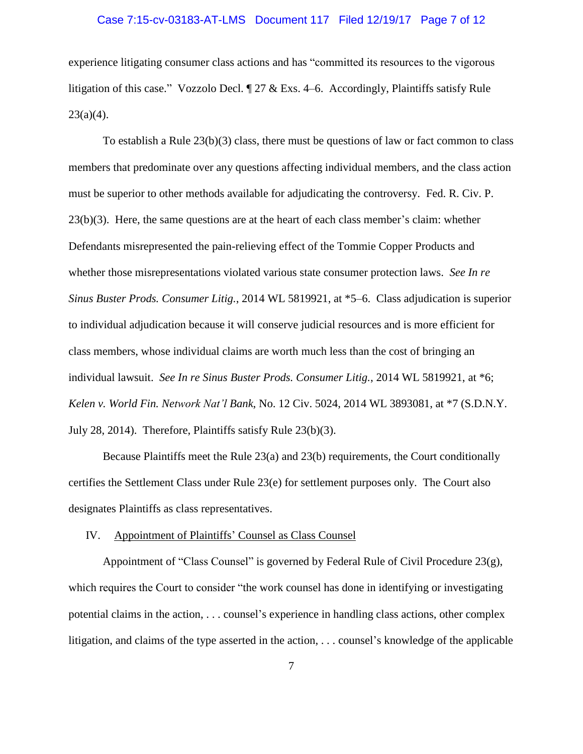#### Case 7:15-cv-03183-AT-LMS Document 117 Filed 12/19/17 Page 7 of 12

experience litigating consumer class actions and has "committed its resources to the vigorous litigation of this case." Vozzolo Decl. ¶ 27 & Exs. 4–6. Accordingly, Plaintiffs satisfy Rule  $23(a)(4)$ .

To establish a Rule 23(b)(3) class, there must be questions of law or fact common to class members that predominate over any questions affecting individual members, and the class action must be superior to other methods available for adjudicating the controversy. Fed. R. Civ. P. 23(b)(3). Here, the same questions are at the heart of each class member's claim: whether Defendants misrepresented the pain-relieving effect of the Tommie Copper Products and whether those misrepresentations violated various state consumer protection laws. *See In re Sinus Buster Prods. Consumer Litig.*, 2014 WL 5819921, at \*5–6. Class adjudication is superior to individual adjudication because it will conserve judicial resources and is more efficient for class members, whose individual claims are worth much less than the cost of bringing an individual lawsuit. *See In re Sinus Buster Prods. Consumer Litig.*, 2014 WL 5819921, at \*6; *Kelen v. World Fin. Network Nat'l Bank*, No. 12 Civ. 5024, 2014 WL 3893081, at \*7 (S.D.N.Y. July 28, 2014). Therefore, Plaintiffs satisfy Rule 23(b)(3).

Because Plaintiffs meet the Rule 23(a) and 23(b) requirements, the Court conditionally certifies the Settlement Class under Rule 23(e) for settlement purposes only. The Court also designates Plaintiffs as class representatives.

#### IV. Appointment of Plaintiffs' Counsel as Class Counsel

Appointment of "Class Counsel" is governed by Federal Rule of Civil Procedure 23(g), which requires the Court to consider "the work counsel has done in identifying or investigating potential claims in the action, . . . counsel's experience in handling class actions, other complex litigation, and claims of the type asserted in the action, . . . counsel's knowledge of the applicable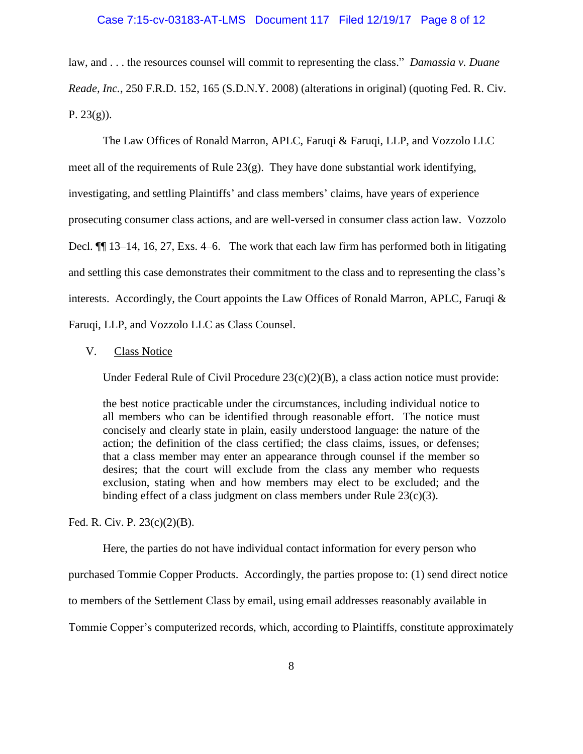#### Case 7:15-cv-03183-AT-LMS Document 117 Filed 12/19/17 Page 8 of 12

law, and . . . the resources counsel will commit to representing the class." *Damassia v. Duane Reade, Inc.*, 250 F.R.D. 152, 165 (S.D.N.Y. 2008) (alterations in original) (quoting Fed. R. Civ. P.  $23(g)$ ).

The Law Offices of Ronald Marron, APLC, Faruqi & Faruqi, LLP, and Vozzolo LLC meet all of the requirements of Rule 23(g). They have done substantial work identifying, investigating, and settling Plaintiffs' and class members' claims, have years of experience prosecuting consumer class actions, and are well-versed in consumer class action law. Vozzolo Decl.  $\P$  13–14, 16, 27, Exs. 4–6. The work that each law firm has performed both in litigating and settling this case demonstrates their commitment to the class and to representing the class's interests. Accordingly, the Court appoints the Law Offices of Ronald Marron, APLC, Faruqi  $\&$ Faruqi, LLP, and Vozzolo LLC as Class Counsel.

## V. Class Notice

Under Federal Rule of Civil Procedure 23(c)(2)(B), a class action notice must provide:

the best notice practicable under the circumstances, including individual notice to all members who can be identified through reasonable effort. The notice must concisely and clearly state in plain, easily understood language: the nature of the action; the definition of the class certified; the class claims, issues, or defenses; that a class member may enter an appearance through counsel if the member so desires; that the court will exclude from the class any member who requests exclusion, stating when and how members may elect to be excluded; and the binding effect of a class judgment on class members under Rule  $23(c)(3)$ .

Fed. R. Civ. P. 23(c)(2)(B).

Here, the parties do not have individual contact information for every person who

purchased Tommie Copper Products. Accordingly, the parties propose to: (1) send direct notice

to members of the Settlement Class by email, using email addresses reasonably available in

Tommie Copper's computerized records, which, according to Plaintiffs, constitute approximately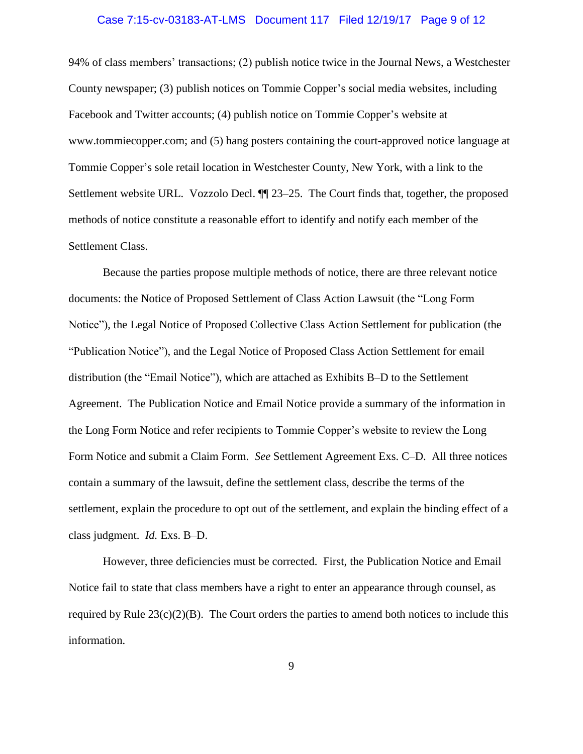#### Case 7:15-cv-03183-AT-LMS Document 117 Filed 12/19/17 Page 9 of 12

94% of class members' transactions; (2) publish notice twice in the Journal News, a Westchester County newspaper; (3) publish notices on Tommie Copper's social media websites, including Facebook and Twitter accounts; (4) publish notice on Tommie Copper's website at www.tommiecopper.com; and (5) hang posters containing the court-approved notice language at Tommie Copper's sole retail location in Westchester County, New York, with a link to the Settlement website URL. Vozzolo Decl. ¶¶ 23–25. The Court finds that, together, the proposed methods of notice constitute a reasonable effort to identify and notify each member of the Settlement Class.

Because the parties propose multiple methods of notice, there are three relevant notice documents: the Notice of Proposed Settlement of Class Action Lawsuit (the "Long Form Notice"), the Legal Notice of Proposed Collective Class Action Settlement for publication (the "Publication Notice"), and the Legal Notice of Proposed Class Action Settlement for email distribution (the "Email Notice"), which are attached as Exhibits B–D to the Settlement Agreement. The Publication Notice and Email Notice provide a summary of the information in the Long Form Notice and refer recipients to Tommie Copper's website to review the Long Form Notice and submit a Claim Form. *See* Settlement Agreement Exs. C–D. All three notices contain a summary of the lawsuit, define the settlement class, describe the terms of the settlement, explain the procedure to opt out of the settlement, and explain the binding effect of a class judgment. *Id.* Exs. B–D.

However, three deficiencies must be corrected. First, the Publication Notice and Email Notice fail to state that class members have a right to enter an appearance through counsel, as required by Rule  $23(c)(2)(B)$ . The Court orders the parties to amend both notices to include this information.

9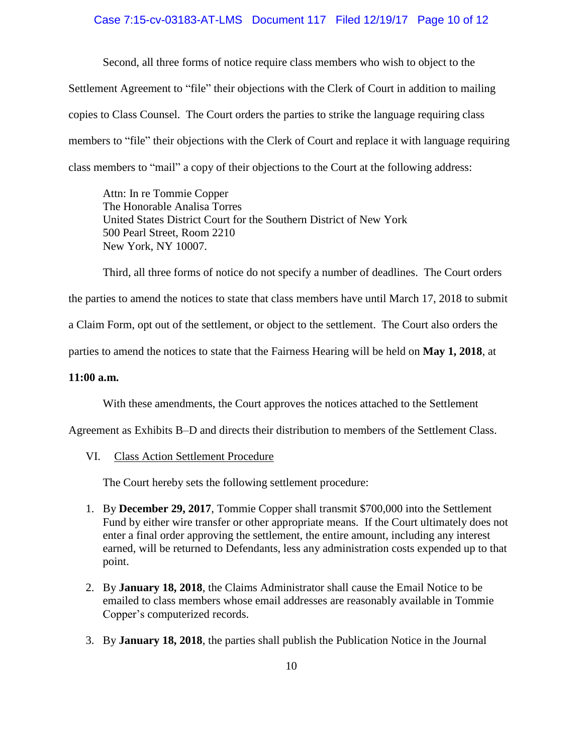# Case 7:15-cv-03183-AT-LMS Document 117 Filed 12/19/17 Page 10 of 12

Second, all three forms of notice require class members who wish to object to the Settlement Agreement to "file" their objections with the Clerk of Court in addition to mailing copies to Class Counsel. The Court orders the parties to strike the language requiring class members to "file" their objections with the Clerk of Court and replace it with language requiring class members to "mail" a copy of their objections to the Court at the following address:

Attn: In re Tommie Copper The Honorable Analisa Torres United States District Court for the Southern District of New York 500 Pearl Street, Room 2210 New York, NY 10007.

Third, all three forms of notice do not specify a number of deadlines. The Court orders the parties to amend the notices to state that class members have until March 17, 2018 to submit a Claim Form, opt out of the settlement, or object to the settlement. The Court also orders the parties to amend the notices to state that the Fairness Hearing will be held on **May 1, 2018**, at

### **11:00 a.m.**

With these amendments, the Court approves the notices attached to the Settlement

Agreement as Exhibits B–D and directs their distribution to members of the Settlement Class.

VI. Class Action Settlement Procedure

The Court hereby sets the following settlement procedure:

- 1. By **December 29, 2017**, Tommie Copper shall transmit \$700,000 into the Settlement Fund by either wire transfer or other appropriate means. If the Court ultimately does not enter a final order approving the settlement, the entire amount, including any interest earned, will be returned to Defendants, less any administration costs expended up to that point.
- 2. By **January 18, 2018**, the Claims Administrator shall cause the Email Notice to be emailed to class members whose email addresses are reasonably available in Tommie Copper's computerized records.
- 3. By **January 18, 2018**, the parties shall publish the Publication Notice in the Journal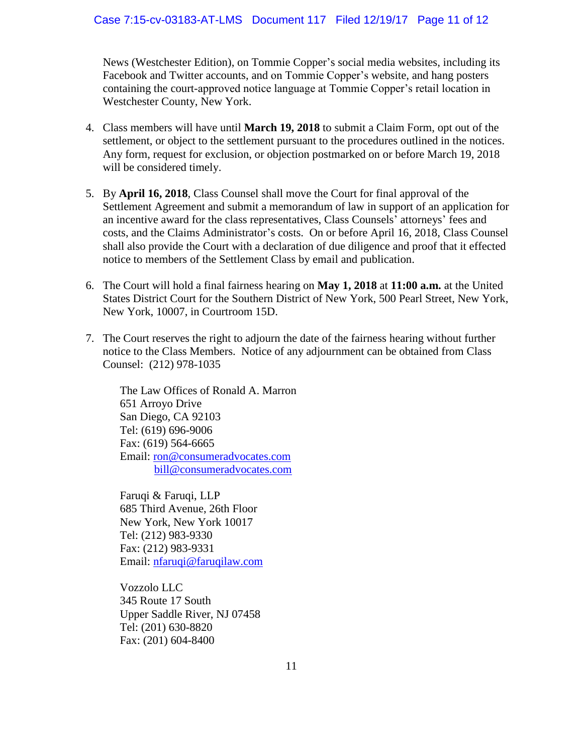News (Westchester Edition), on Tommie Copper's social media websites, including its Facebook and Twitter accounts, and on Tommie Copper's website, and hang posters containing the court-approved notice language at Tommie Copper's retail location in Westchester County, New York.

- 4. Class members will have until **March 19, 2018** to submit a Claim Form, opt out of the settlement, or object to the settlement pursuant to the procedures outlined in the notices. Any form, request for exclusion, or objection postmarked on or before March 19, 2018 will be considered timely.
- 5. By **April 16, 2018**, Class Counsel shall move the Court for final approval of the Settlement Agreement and submit a memorandum of law in support of an application for an incentive award for the class representatives, Class Counsels' attorneys' fees and costs, and the Claims Administrator's costs. On or before April 16, 2018, Class Counsel shall also provide the Court with a declaration of due diligence and proof that it effected notice to members of the Settlement Class by email and publication.
- 6. The Court will hold a final fairness hearing on **May 1, 2018** at **11:00 a.m.** at the United States District Court for the Southern District of New York, 500 Pearl Street, New York, New York, 10007, in Courtroom 15D.
- 7. The Court reserves the right to adjourn the date of the fairness hearing without further notice to the Class Members. Notice of any adjournment can be obtained from Class Counsel: (212) 978-1035

The Law Offices of Ronald A. Marron 651 Arroyo Drive San Diego, CA 92103 Tel: (619) 696-9006 Fax: (619) 564-6665 Email: ron@consumeradvocates.com bill@consumeradvocates.com

Faruqi & Faruqi, LLP 685 Third Avenue, 26th Floor New York, New York 10017 Tel: (212) 983-9330 Fax: (212) 983-9331 Email: nfaruqi@faruqilaw.com

Vozzolo LLC 345 Route 17 South Upper Saddle River, NJ 07458 Tel: (201) 630-8820 Fax: (201) 604-8400